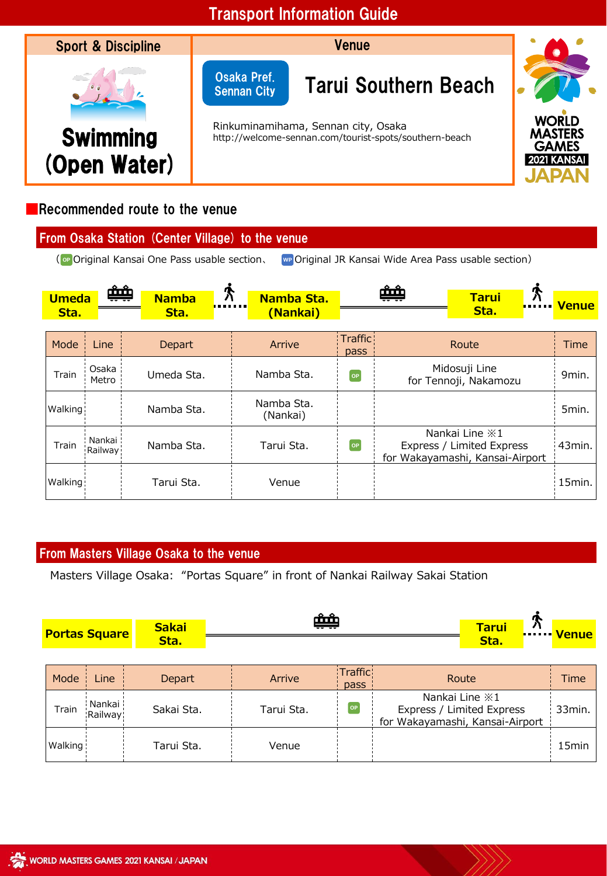

# ■Recommended route to the venue

| From Osaka Station (Center Village) to the venue |                                                      |
|--------------------------------------------------|------------------------------------------------------|
| (or Original Kansai One Pass usable section,     | we Original JR Kansai Wide Area Pass usable section) |

|                      | بثبثة                |                      |                        |                        |  |                                                                                     |  |              |
|----------------------|----------------------|----------------------|------------------------|------------------------|--|-------------------------------------------------------------------------------------|--|--------------|
| <b>Umeda</b><br>Sta. |                      | <b>Namba</b><br>Sta. | Namba Sta.<br>(Nankai) | Ħ                      |  | <b>Tarui</b><br>Sta.                                                                |  | <b>Venue</b> |
|                      |                      |                      |                        |                        |  |                                                                                     |  |              |
| Mode                 | Line                 | Depart               | Arrive                 | <b>Traffic</b><br>pass |  | Route                                                                               |  | Time         |
| Train                | Osaka<br>Metro       | Umeda Sta.           | Namba Sta.             | OP                     |  | Midosuji Line<br>for Tennoji, Nakamozu                                              |  | 9min.        |
| Walking:             |                      | Namba Sta.           | Namba Sta.<br>(Nankai) |                        |  |                                                                                     |  | 5min.        |
| Train                | Nankai ¦<br>Railway! | Namba Sta.           | Tarui Sta.             | OP                     |  | Nankai Line $\ge 1$<br>Express / Limited Express<br>for Wakayamashi, Kansai-Airport |  | 43min.       |
| Walking:             |                      | Tarui Sta.           | Venue                  |                        |  |                                                                                     |  | 15min.       |

### From Masters Village Osaka to the venue

Masters Village Osaka: "Portas Square" in front of Nankai Railway Sakai Station

| <b>Sakai</b><br><b>Portas Square</b><br>Sta. |                       |               | يثبث       |                        |                                                                                     | <b>Tarui</b><br>Sta. |  | <b>FILLE</b> Venue |
|----------------------------------------------|-----------------------|---------------|------------|------------------------|-------------------------------------------------------------------------------------|----------------------|--|--------------------|
|                                              |                       |               |            |                        |                                                                                     |                      |  |                    |
| Mode                                         | Line                  | <b>Depart</b> | Arrive     | <b>Traffic</b><br>pass | Route                                                                               |                      |  | Time               |
| Train                                        | Nankai ¦<br>:Railway: | Sakai Sta.    | Tarui Sta. | [OP]                   | Nankai Line $\ge 1$<br>Express / Limited Express<br>for Wakayamashi, Kansai-Airport |                      |  | 33min.             |
| Walking                                      |                       | Tarui Sta.    | Venue      |                        |                                                                                     |                      |  | 15 <sub>min</sub>  |